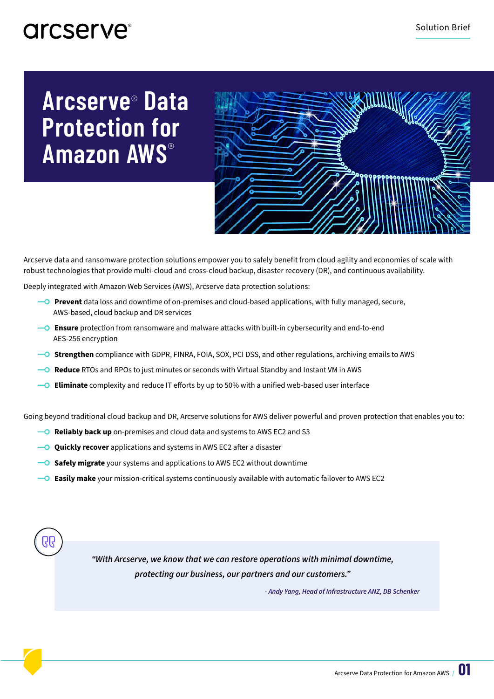# **Arcserve**® **Data Protection for Amazon AWS**®



Arcserve data and ransomware protection solutions empower you to safely benefit from cloud agility and economies of scale with robust technologies that provide multi-cloud and cross-cloud backup, disaster recovery (DR), and continuous availability.

Deeply integrated with Amazon Web Services (AWS), Arcserve data protection solutions:

- **Prevent** data loss and downtime of on-premises and cloud-based applications, with fully managed, secure, AWS-based, cloud backup and DR services
- **Ensure** protection from ransomware and malware attacks with built-in cybersecurity and end-to-end AES-256 encryption
- **Strengthen** compliance with GDPR, FINRA, FOIA, SOX, PCI DSS, and other regulations, archiving emails to AWS
- **Reduce** RTOs and RPOs to just minutes or seconds with Virtual Standby and Instant VM in AWS
- **Eliminate** complexity and reduce IT efforts by up to 50% with a unified web-based user interface

Going beyond traditional cloud backup and DR, Arcserve solutions for AWS deliver powerful and proven protection that enables you to:

- **PO** Reliably back up on-premises and cloud data and systems to AWS EC2 and S3
- **Quickly recover** applications and systems in AWS EC2 after a disaster
- **Safely migrate** your systems and applications to AWS EC2 without downtime
- **Easily make** your mission-critical systems continuously available with automatic failover to AWS EC2



*- Andy Yang, Head of Infrastructure ANZ, DB Schenker*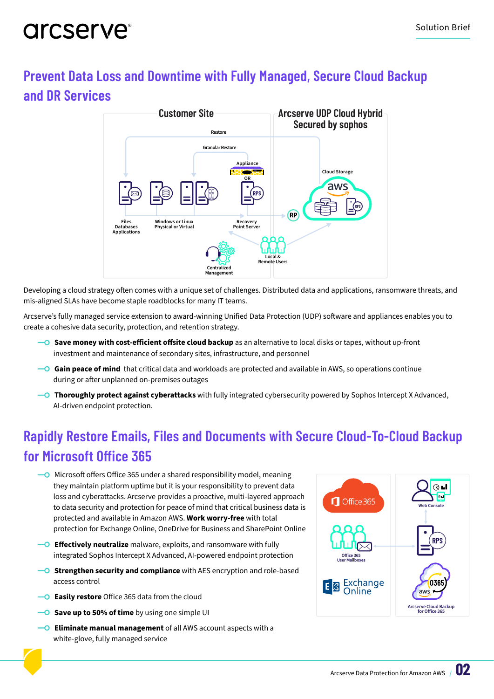### **Prevent Data Loss and Downtime with Fully Managed, Secure Cloud Backup and DR Services**



Developing a cloud strategy often comes with a unique set of challenges. Distributed data and applications, ransomware threats, and mis-aligned SLAs have become staple roadblocks for many IT teams.

Arcserve's fully managed service extension to award-winning Unified Data Protection (UDP) software and appliances enables you to create a cohesive data security, protection, and retention strategy.

- **Save money with cost-efficient offsite cloud backup** as an alternative to local disks or tapes, without up-front investment and maintenance of secondary sites, infrastructure, and personnel
- **Gain peace of mind** that critical data and workloads are protected and available in AWS, so operations continue during or after unplanned on-premises outages
- **Thoroughly protect against cyberattacks** with fully integrated cybersecurity powered by Sophos Intercept X Advanced, AI-driven endpoint protection.

### **Rapidly Restore Emails, Files and Documents with Secure Cloud-To-Cloud Backup for Microsoft Office 365**

- $\overline{\phantom{a}}$  Microsoft offers Office 365 under a shared responsibility model, meaning they maintain platform uptime but it is your responsibility to prevent data loss and cyberattacks. Arcserve provides a proactive, multi-layered approach to data security and protection for peace of mind that critical business data is protected and available in Amazon AWS. **Work worry-free** with total protection for Exchange Online, OneDrive for Business and SharePoint Online
- **Effectively neutralize** malware, exploits, and ransomware with fully integrated Sophos Intercept X Advanced, AI-powered endpoint protection
- **Strengthen security and compliance** with AES encryption and role-based access control
- **Easily restore** Office 365 data from the cloud
- **Save up to 50% of time** by using one simple UI
- **Eliminate manual management** of all AWS account aspects with a white-glove, fully managed service

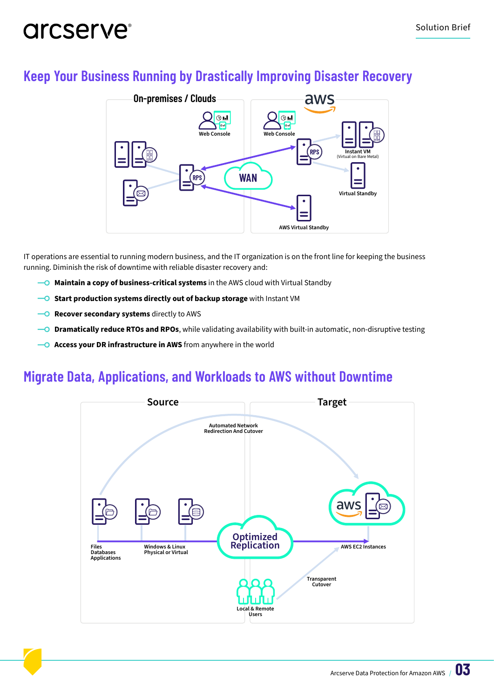### **Keep Your Business Running by Drastically Improving Disaster Recovery**



IT operations are essential to running modern business, and the IT organization is on the front line for keeping the business running. Diminish the risk of downtime with reliable disaster recovery and:

- **Maintain a copy of business-critical systems** in the AWS cloud with Virtual Standby
- **-O** Start production systems directly out of backup storage with Instant VM
- **-O Recover secondary systems** directly to AWS
- **Dramatically reduce RTOs and RPOs**, while validating availability with built-in automatic, non-disruptive testing
- **-0 Access your DR infrastructure in AWS** from anywhere in the world

### **Migrate Data, Applications, and Workloads to AWS without Downtime**

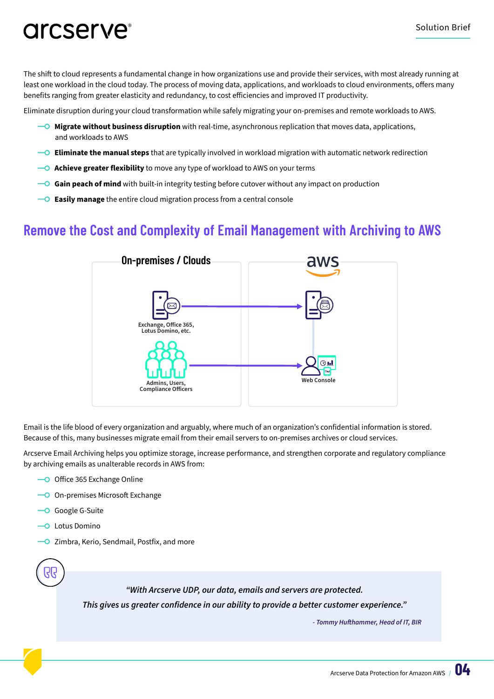The shift to cloud represents a fundamental change in how organizations use and provide their services, with most already running at least one workload in the cloud today. The process of moving data, applications, and workloads to cloud environments, offers many benefits ranging from greater elasticity and redundancy, to cost efficiencies and improved IT productivity.

Eliminate disruption during your cloud transformation while safely migrating your on-premises and remote workloads to AWS.

- **Migrate without business disruption** with real-time, asynchronous replication that moves data, applications, and workloads to AWS
- **Eliminate the manual steps** that are typically involved in workload migration with automatic network redirection
- **Achieve greater flexibility** to move any type of workload to AWS on your terms
- **Gain peach of mind** with built-in integrity testing before cutover without any impact on production
- **Easily manage** the entire cloud migration process from a central console

### **Remove the Cost and Complexity of Email Management with Archiving to AWS**



Email is the life blood of every organization and arguably, where much of an organization's confidential information is stored. Because of this, many businesses migrate email from their email servers to on-premises archives or cloud services.

Arcserve Email Archiving helps you optimize storage, increase performance, and strengthen corporate and regulatory compliance by archiving emails as unalterable records in AWS from:

- **O** Office 365 Exchange Online
- **O** On-premises Microsoft Exchange
- **-O** Google G-Suite
- -O Lotus Domino
- **O** Zimbra, Kerio, Sendmail, Postfix, and more

*"With Arcserve UDP, our data, emails and servers are protected.*  **This gives us greater confidence in our ability to provide a better customer experience." - Tommy Hufthammer, Head of IT, BIR**